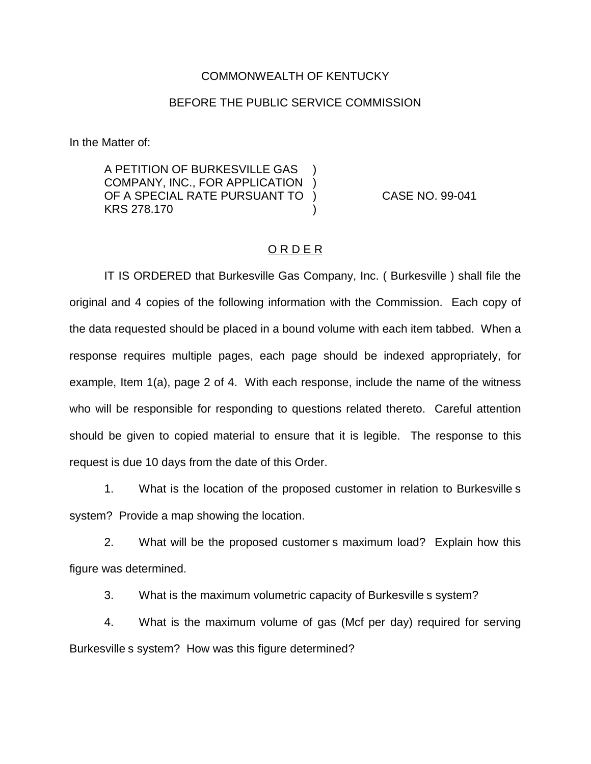## COMMONWEALTH OF KENTUCKY

## BEFORE THE PUBLIC SERVICE COMMISSION

In the Matter of:

A PETITION OF BURKESVILLE GAS ) COMPANY, INC., FOR APPLICATION ) OF A SPECIAL RATE PURSUANT TO ) CASE NO. 99-041 KRS 278.170 (a)

## O R D E R

IT IS ORDERED that Burkesville Gas Company, Inc. ( Burkesville ) shall file the original and 4 copies of the following information with the Commission. Each copy of the data requested should be placed in a bound volume with each item tabbed. When a response requires multiple pages, each page should be indexed appropriately, for example, Item 1(a), page 2 of 4. With each response, include the name of the witness who will be responsible for responding to questions related thereto. Careful attention should be given to copied material to ensure that it is legible. The response to this request is due 10 days from the date of this Order.

1. What is the location of the proposed customer in relation to Burkesville s system? Provide a map showing the location.

2. What will be the proposed customer s maximum load? Explain how this figure was determined.

3. What is the maximum volumetric capacity of Burkesville s system?

4. What is the maximum volume of gas (Mcf per day) required for serving Burkesville s system? How was this figure determined?